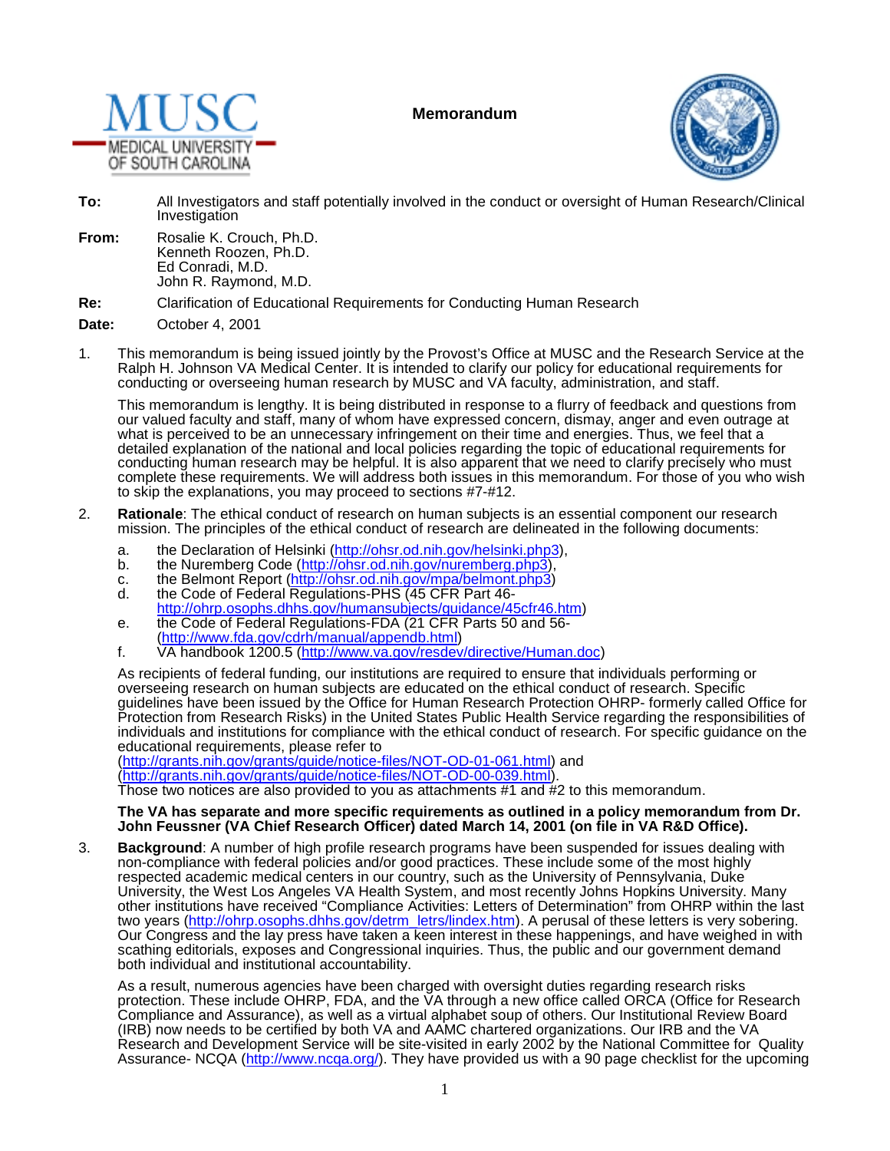





- **To:** All Investigators and staff potentially involved in the conduct or oversight of Human Research/Clinical Investigation
- **From:** Rosalie K. Crouch, Ph.D. Kenneth Roozen, Ph.D. Ed Conradi, M.D. John R. Raymond, M.D.
- **Re:** Clarification of Educational Requirements for Conducting Human Research
- **Date:** October 4, 2001
- 1. This memorandum is being issued jointly by the Provost's Office at MUSC and the Research Service at the Ralph H. Johnson VA Medical Center. It is intended to clarify our policy for educational requirements for conducting or overseeing human research by MUSC and VA faculty, administration, and staff.

This memorandum is lengthy. It is being distributed in response to a flurry of feedback and questions from our valued faculty and staff, many of whom have expressed concern, dismay, anger and even outrage at what is perceived to be an unnecessary infringement on their time and energies. Thus, we feel that a detailed explanation of the national and local policies regarding the topic of educational requirements for conducting human research may be helpful. It is also apparent that we need to clarify precisely who must complete these requirements. We will address both issues in this memorandum. For those of you who wish to skip the explanations, you may proceed to sections #7-#12.

- 2. **Rationale**: The ethical conduct of research on human subjects is an essential component our research mission. The principles of the ethical conduct of research are delineated in the following documents:
	- a. the Declaration of Helsinki [\(http://ohsr.od.nih.gov/helsinki.php3\),](http://ohsr.od.nih.gov/helsinki.php3)
	- b. the Nuremberg Code (http://ohsr.od.nih.gov/nuremberg.php3)
	- c. the Belmont Report [\(http://ohsr.od.nih.gov/mpa/belmont.php3\)](http://ohsr.od.nih.gov/mpa/belmont.php3)<br>d. the Code of Federal Regulations-PHS (45 CFR Part 46-
	- the Code of Federal Regulations-PHS (45 CFR Part 46[http://ohrp.osophs.dhhs.gov/humansubjects/guidance/45cfr46.htm\)](http://ohrp.osophs.dhhs.gov/humansubjects/guidance/45cfr46.htm)
	- e. the Code of Federal Regulations-FDA (21 CFR Parts 50 and 56- [\(http://www.fda.gov/cdrh/manual/appendb.html\)](http://www.fda.gov/cdrh/manual/appendb.html)
	- f. VA handbook 1200.5 [\(http://www.va.gov/resdev/directive/Human.doc\)](http://www.va.gov/resdev/directive/Human.doc)

As recipients of federal funding, our institutions are required to ensure that individuals performing or overseeing research on human subjects are educated on the ethical conduct of research. Specific guidelines have been issued by the Office for Human Research Protection OHRP- formerly called Office for Protection from Research Risks) in the United States Public Health Service regarding the responsibilities of individuals and institutions for compliance with the ethical conduct of research. For specific guidance on the educational requirements, please refer to

[\(http://grants.nih.gov/grants/guide/notice-files/NOT-OD-01-061.html\)](http://grants.nih.gov/grants/guide/notice-files/NOT-OD-01-061.html) and [\(http://grants.nih.gov/grants/guide/notice-files/NOT-OD-00-039.html\).](http://grants.nih.gov/grants/guide/notice-files/NOT-OD-00-039.html)

Those two notices are also provided to you as attachments #1 and #2 to this memorandum.

## **The VA has separate and more specific requirements as outlined in a policy memorandum from Dr. John Feussner (VA Chief Research Officer) dated March 14, 2001 (on file in VA R&D Office).**

3. **Background**: A number of high profile research programs have been suspended for issues dealing with non-compliance with federal policies and/or good practices. These include some of the most highly respected academic medical centers in our country, such as the University of Pennsylvania, Duke University, the West Los Angeles VA Health System, and most recently Johns Hopkins University. Many other institutions have received "Compliance Activities: Letters of Determination" from OHRP within the last two years [\(http://ohrp.osophs.dhhs.gov/detrm\\_letrs/lindex.htm\).](http://ohrp.osophs.dhhs.gov/detrm_letrs/lindex.htm) A perusal of these letters is very sobering. Our Congress and the lay press have taken a keen interest in these happenings, and have weighed in with scathing editorials, exposes and Congressional inquiries. Thus, the public and our government demand both individual and institutional accountability.

As a result, numerous agencies have been charged with oversight duties regarding research risks protection. These include OHRP, FDA, and the VA through a new office called ORCA (Office for Research Compliance and Assurance), as well as a virtual alphabet soup of others. Our Institutional Review Board (IRB) now needs to be certified by both VA and AAMC chartered organizations. Our IRB and the VA Research and Development Service will be site-visited in early 2002 by the National Committee for Quality Assurance- NCQA [\(http://www.ncqa.org/\).](http://www.ncqa.org/) They have provided us with a 90 page checklist for the upcoming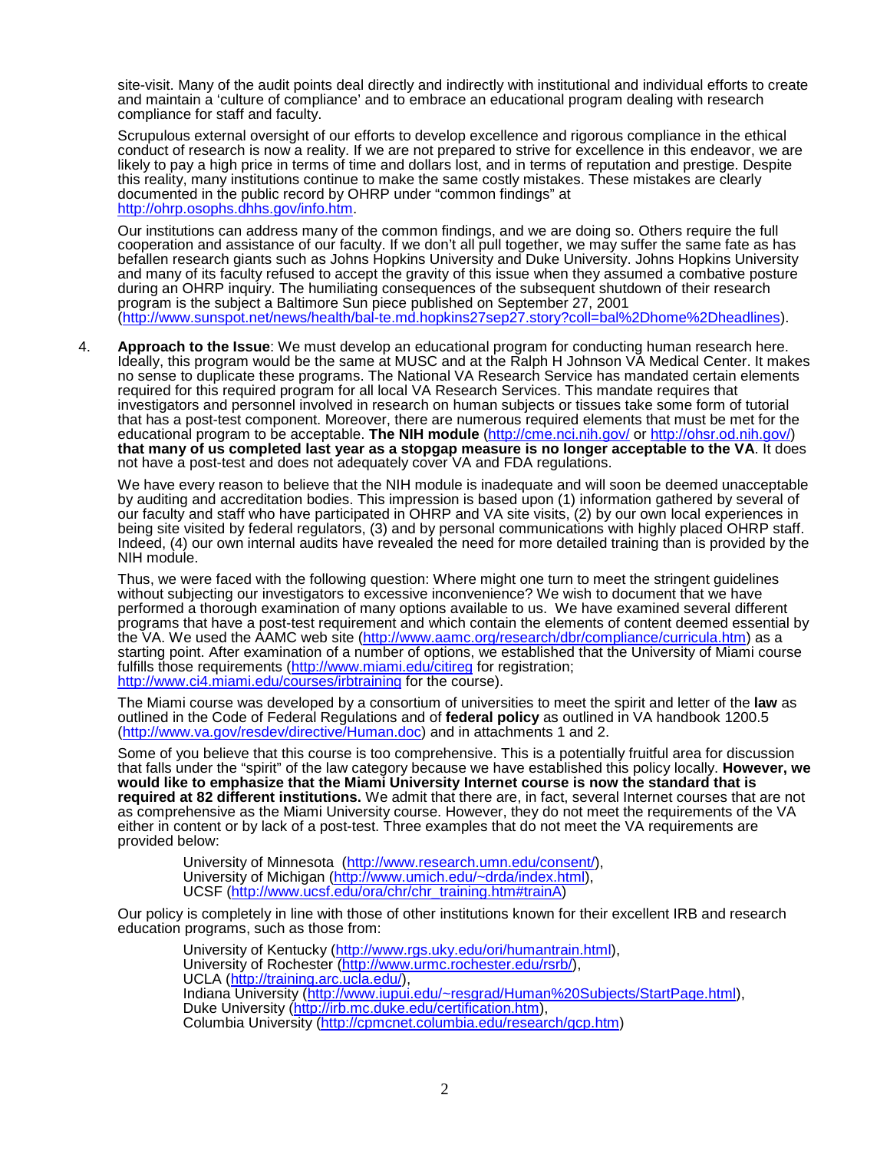site-visit. Many of the audit points deal directly and indirectly with institutional and individual efforts to create and maintain a 'culture of compliance' and to embrace an educational program dealing with research compliance for staff and faculty.

Scrupulous external oversight of our efforts to develop excellence and rigorous compliance in the ethical conduct of research is now a reality. If we are not prepared to strive for excellence in this endeavor, we are likely to pay a high price in terms of time and dollars lost, and in terms of reputation and prestige. Despite this reality, many institutions continue to make the same costly mistakes. These mistakes are clearly documented in the public record by OHRP under "common findings" at [http://ohrp.osophs.dhhs.gov/info.htm.](http://ohrp.osophs.dhhs.gov/info.htm)

Our institutions can address many of the common findings, and we are doing so. Others require the full cooperation and assistance of our faculty. If we don't all pull together, we may suffer the same fate as has befallen research giants such as Johns Hopkins University and Duke University. Johns Hopkins University and many of its faculty refused to accept the gravity of this issue when they assumed a combative posture during an OHRP inquiry. The humiliating consequences of the subsequent shutdown of their research program is the subject a Baltimore Sun piece published on September 27, 2001 [\(http://www.sunspot.net/news/health/bal-te.md.hopkins27sep27.story?coll=bal%2Dhome%2Dheadlines\).](http://www.sunspot.net/news/health/bal-te.md.hopkins27sep27.story?coll=bal%2Dhome%2Dheadlines)

4. **Approach to the Issue**: We must develop an educational program for conducting human research here. Ideally, this program would be the same at MUSC and at the Ralph H Johnson VA Medical Center. It makes no sense to duplicate these programs. The National VA Research Service has mandated certain elements required for this required program for all local VA Research Services. This mandate requires that investigators and personnel involved in research on human subjects or tissues take some form of tutorial that has a post-test component. Moreover, there are numerous required elements that must be met for the educational program to be acceptable. **The NIH module** [\(http://cme.nci.nih.gov/](http://cme.nci.nih.gov/) or [http://ohsr.od.nih.gov/\)](http://ohsr.od.nih.gov/) **that many of us completed last year as a stopgap measure is no longer acceptable to the VA**. It does not have a post-test and does not adequately cover VA and FDA regulations.

We have every reason to believe that the NIH module is inadequate and will soon be deemed unacceptable by auditing and accreditation bodies. This impression is based upon (1) information gathered by several of our faculty and staff who have participated in OHRP and VA site visits, (2) by our own local experiences in being site visited by federal regulators, (3) and by personal communications with highly placed OHRP staff. Indeed, (4) our own internal audits have revealed the need for more detailed training than is provided by the NIH module.

Thus, we were faced with the following question: Where might one turn to meet the stringent guidelines without subjecting our investigators to excessive inconvenience? We wish to document that we have performed a thorough examination of many options available to us. We have examined several different programs that have a post-test requirement and which contain the elements of content deemed essential by the VA. We used the AAMC web site (<u>http://www.aamc.org/research/dbr/compliance/curricula.htm</u>) as a starting point. After examination of a number of options, we established that the University of Miami course fulfills those requirements [\(http://www.miami.edu/citireg](http://www.miami.edu/citireg) for registration; <http://www.ci4.miami.edu/courses/irbtraining>for the course).

The Miami course was developed by a consortium of universities to meet the spirit and letter of the **law** as outlined in the Code of Federal Regulations and of **federal policy** as outlined in VA handbook 1200.5 [\(http://www.va.gov/resdev/directive/Human.doc\)](http://www.va.gov/resdev/directive/Human.doc) and in attachments 1 and 2.

Some of you believe that this course is too comprehensive. This is a potentially fruitful area for discussion that falls under the "spirit" of the law category because we have established this policy locally. **However, we would like to emphasize that the Miami University Internet course is now the standard that is required at 82 different institutions.** We admit that there are, in fact, several Internet courses that are not as comprehensive as the Miami University course. However, they do not meet the requirements of the VA either in content or by lack of a post-test. Three examples that do not meet the VA requirements are provided below:

University of Minnesota [\(http://www.research.umn.edu/consent/\),](http://www.research.umn.edu/consent/) University of Michigan [\(http://www.umich.edu/~drda/index.html\),](http://www.umich.edu/~drda/index.html) UCSF [\(http://www.ucsf.edu/ora/chr/chr\\_training.htm#trainA\)](http://www.ucsf.edu/ora/chr/chr_training.htm#trainA)

Our policy is completely in line with those of other institutions known for their excellent IRB and research education programs, such as those from:

University of Kentucky [\(http://www.rgs.uky.edu/ori/humantrain.html\),](http://www.rgs.uky.edu/ori/humantrain.html) University of Rochester [\(http://www.urmc.rochester.edu/rsrb/\),](http://www.urmc.rochester.edu/rsrb/) UCLA [\(http://training.arc.ucla.edu/\),](http://training.arc.ucla.edu/) Indiana University [\(http://www.iupui.edu/~resgrad/Human%20Subjects/StartPage.html\),](http://www.iupui.edu/~resgrad/Human%20Subjects/StartPage.html) Duke University [\(http://irb.mc.duke.edu/certification.htm\),](http://irb.mc.duke.edu/certification.htm) Columbia University [\(http://cpmcnet.columbia.edu/research/gcp.htm\)](http://cpmcnet.columbia.edu/research/gcp.htm))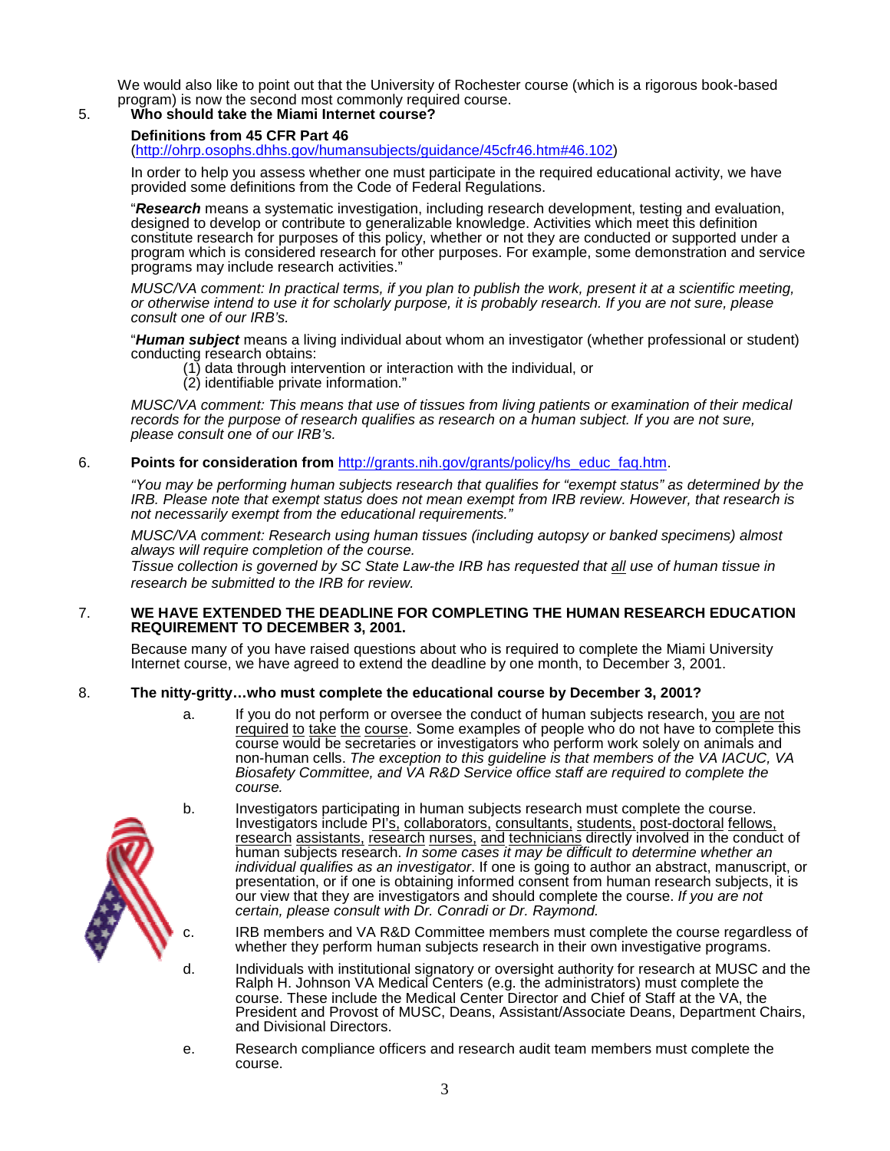We would also like to point out that the University of Rochester course (which is a rigorous book-based program) is now the second most commonly required course. 5. **Who should take the Miami Internet course?**

# **Definitions from 45 CFR Part 46**

[\(http://ohrp.osophs.dhhs.gov/humansubjects/guidance/45cfr46.htm#46.102\)](http://ohrp.osophs.dhhs.gov/humansubjects/guidance/45cfr46.htm#46.102)

In order to help you assess whether one must participate in the required educational activity, we have provided some definitions from the Code of Federal Regulations.

"*Research* means a systematic investigation, including research development, testing and evaluation, designed to develop or contribute to generalizable knowledge. Activities which meet this definition constitute research for purposes of this policy, whether or not they are conducted or supported under a program which is considered research for other purposes. For example, some demonstration and service programs may include research activities."

*MUSC/VA comment: In practical terms, if you plan to publish the work, present it at a scientific meeting, or otherwise intend to use it for scholarly purpose, it is probably research. If you are not sure, please consult one of our IRB's.*

"*Human subject* means a living individual about whom an investigator (whether professional or student) conducting research obtains:

- (1) data through intervention or interaction with the individual, or
- (2) identifiable private information."

*MUSC/VA comment: This means that use of tissues from living patients or examination of their medical records for the purpose of research qualifies as research on a human subject. If you are not sure, please consult one of our IRB's.*

## 6. **Points for consideration from** [http://grants.nih.gov/grants/policy/hs\\_educ\\_faq.htm.](http://grants.nih.gov/grants/policy/hs_educ_faq.htm)

*"You may be performing human subjects research that qualifies for "exempt status" as determined by the IRB. Please note that exempt status does not mean exempt from IRB review. However, that research is not necessarily exempt from the educational requirements."*

*MUSC/VA comment: Research using human tissues (including autopsy or banked specimens) almost always will require completion of the course.*

*Tissue collection is governed by SC State Law-the IRB has requested that all use of human tissue in research be submitted to the IRB for review.*

## 7. **WE HAVE EXTENDED THE DEADLINE FOR COMPLETING THE HUMAN RESEARCH EDUCATION REQUIREMENT TO DECEMBER 3, 2001.**

Because many of you have raised questions about who is required to complete the Miami University Internet course, we have agreed to extend the deadline by one month, to December 3, 2001.

# 8. **The nitty-gritty…who must complete the educational course by December 3, 2001?**

- a. If you do not perform or oversee the conduct of human subjects research, you are not required to take the course. Some examples of people who do not have to complete this course would be secretaries or investigators who perform work solely on animals and non-human cells. *The exception to this guideline is that members of the VA IACUC, VA Biosafety Committee, and VA R&D Service office staff are required to complete the course.*
- 
- b. Investigators participating in human subjects research must complete the course. Investigators include Pl's, collaborators, consultants, students, post-doctoral fellows, research assistants, research nurses, and technicians directly involved in the conduct of human subjects research. *In some cases it may be difficult to determine whether an individual qualifies as an investigator*. If one is going to author an abstract, manuscript, or presentation, or if one is obtaining informed consent from human research subjects, it is our view that they are investigators and should complete the course. *If you are not certain, please consult with Dr. Conradi or Dr. Raymond.*
	- c. IRB members and VA R&D Committee members must complete the course regardless of whether they perform human subjects research in their own investigative programs.
	- d. Individuals with institutional signatory or oversight authority for research at MUSC and the Ralph H. Johnson VA Medical Centers (e.g. the administrators) must complete the course. These include the Medical Center Director and Chief of Staff at the VA, the President and Provost of MUSC, Deans, Assistant/Associate Deans, Department Chairs, and Divisional Directors.
	- e. Research compliance officers and research audit team members must complete the course.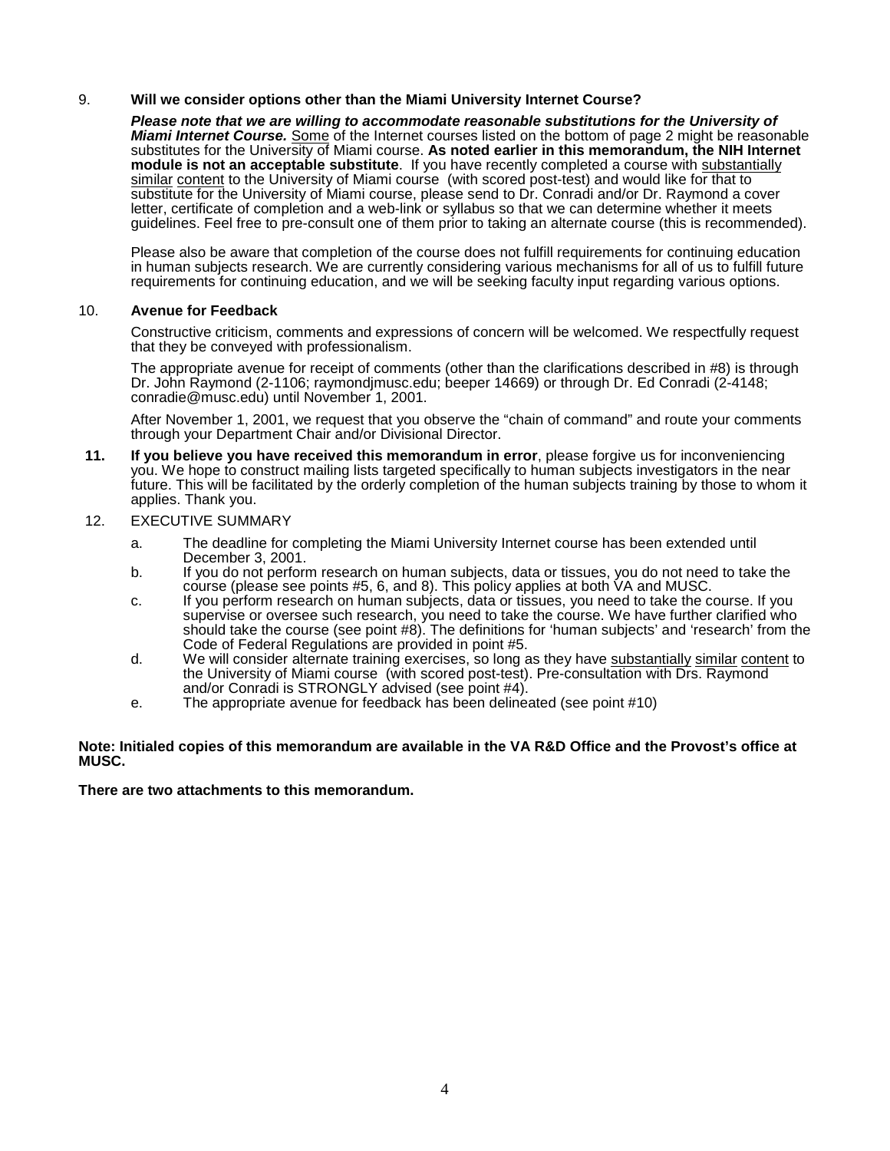## 9. **Will we consider options other than the Miami University Internet Course?**

*Please note that we are willing to accommodate reasonable substitutions for the University of Miami Internet Course.* Some of the Internet courses listed on the bottom of page 2 might be reasonable substitutes for the University of Miami course. **As noted earlier in this memorandum, the NIH Internet module is not an acceptable substitute**. If you have recently completed a course with substantially similar content to the University of Miami course (with scored post-test) and would like for that to substitute for the University of Miami course, please send to Dr. Conradi and/or Dr. Raymond a cover letter, certificate of completion and a web-link or syllabus so that we can determine whether it meets guidelines. Feel free to pre-consult one of them prior to taking an alternate course (this is recommended).

Please also be aware that completion of the course does not fulfill requirements for continuing education in human subjects research. We are currently considering various mechanisms for all of us to fulfill future requirements for continuing education, and we will be seeking faculty input regarding various options.

## 10. **Avenue for Feedback**

Constructive criticism, comments and expressions of concern will be welcomed. We respectfully request that they be conveyed with professionalism.

The appropriate avenue for receipt of comments (other than the clarifications described in #8) is through Dr. John Raymond (2-1106; raymondjmusc.edu; beeper 14669) or through Dr. Ed Conradi (2-4148; conradie@musc.edu) until November 1, 2001.

After November 1, 2001, we request that you observe the "chain of command" and route your comments through your Department Chair and/or Divisional Director.

- **11. If you believe you have received this memorandum in error**, please forgive us for inconveniencing you. We hope to construct mailing lists targeted specifically to human subjects investigators in the near future. This will be facilitated by the orderly completion of the human subjects training by those to whom it applies. Thank you.
- 12. EXECUTIVE SUMMARY
	- a. The deadline for completing the Miami University Internet course has been extended until December 3, 2001.
	- b. If you do not perform research on human subjects, data or tissues, you do not need to take the course (please see points #5, 6, and 8). This policy applies at both VA and MUSC.
	- c. If you perform research on human subjects, data or tissues, you need to take the course. If you supervise or oversee such research, you need to take the course. We have further clarified who should take the course (see point #8). The definitions for 'human subjects' and 'research' from the Code of Federal Regulations are provided in point #5.
	- d. We will consider alternate training exercises, so long as they have substantially similar content to the University of Miami course (with scored post-test). Pre-consultation with Drs. Raymond and/or Conradi is STRONGLY advised (see point #4).
	- e. The appropriate avenue for feedback has been delineated (see point #10)

#### **Note: Initialed copies of this memorandum are available in the VA R&D Office and the Provost's office at MUSC.**

**There are two attachments to this memorandum.**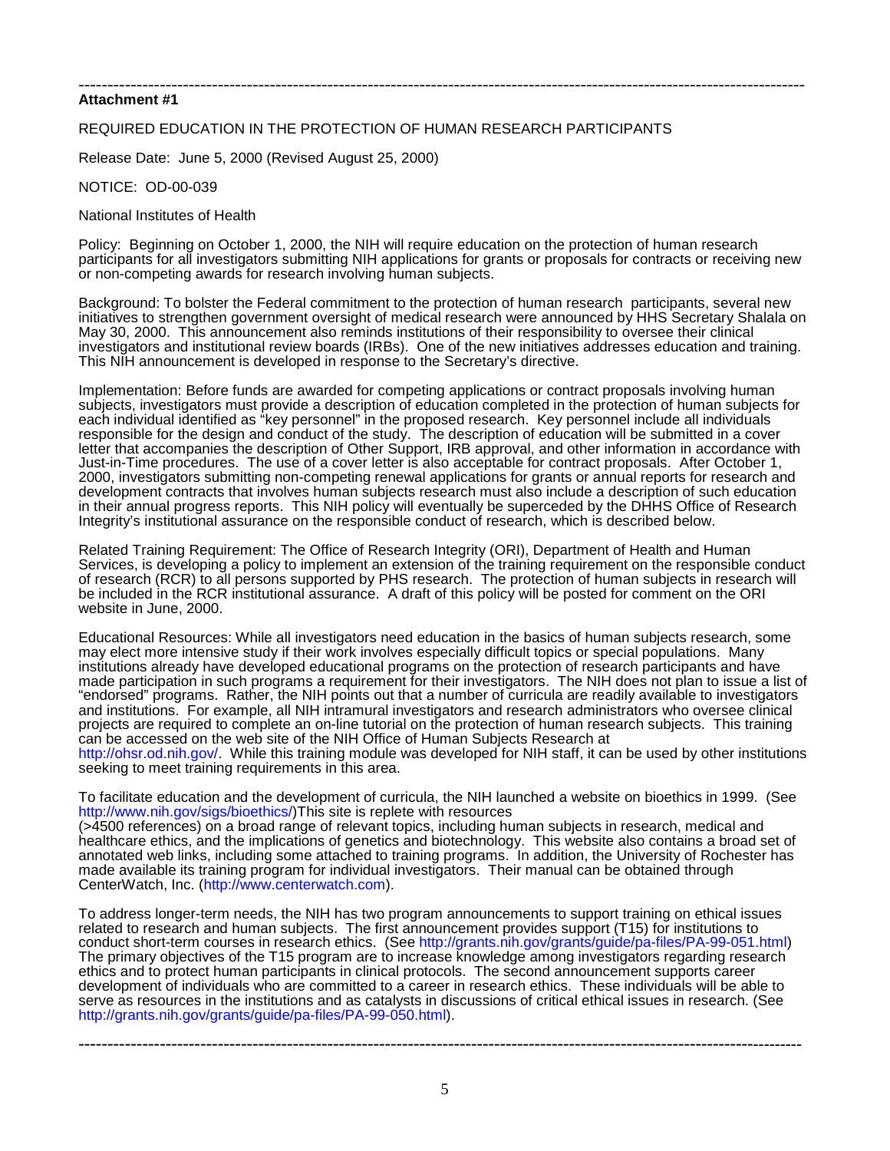#### ------------------------------------------------------------------------------------------------------------------------------ **Attachment #1**

REQUIRED EDUCATION IN THE PROTECTION OF HUMAN RESEARCH PARTICIPANTS

Release Date: June 5, 2000 (Revised August 25, 2000)

NOTICE: OD-00-039

National Institutes of Health

Policy: Beginning on October 1, 2000, the NIH will require education on the protection of human research participants for all investigators submitting NIH applications for grants or proposals for contracts or receiving new or non-competing awards for research involving human subjects.

Background: To bolster the Federal commitment to the protection of human research participants, several new initiatives to strengthen government oversight of medical research were announced by HHS Secretary Shalala on May 30, 2000. This announcement also reminds institutions of their responsibility to oversee their clinical investigators and institutional review boards (IRBs). One of the new initiatives addresses education and training. This NIH announcement is developed in response to the Secretary's directive.

Implementation: Before funds are awarded for competing applications or contract proposals involving human subjects, investigators must provide a description of education completed in the protection of human subjects for each individual identified as "key personnel" in the proposed research. Key personnel include all individuals responsible for the design and conduct of the study. The description of education will be submitted in a cover letter that accompanies the description of Other Support, IRB approval, and other information in accordance with Just-in-Time procedures. The use of a cover letter is also acceptable for contract proposals. After October 1, 2000, investigators submitting non-competing renewal applications for grants or annual reports for research and development contracts that involves human subjects research must also include a description of such education in their annual progress reports. This NIH policy will eventually be superceded by the DHHS Office of Research Integrity's institutional assurance on the responsible conduct of research, which is described below.

Related Training Requirement: The Office of Research Integrity (ORI), Department of Health and Human Services, is developing a policy to implement an extension of the training requirement on the responsible conduct of research (RCR) to all persons supported by PHS research. The protection of human subjects in research will be included in the RCR institutional assurance. A draft of this policy will be posted for comment on the ORI website in June, 2000.

Educational Resources: While all investigators need education in the basics of human subjects research, some may elect more intensive study if their work involves especially difficult topics or special populations. Many institutions already have developed educational programs on the protection of research participants and have momented an every mate every mate the programs a requirement for their investigators. The NIH does not plan to issue a list of "endorsed" programs. Rather, the NIH points out that a number of curricula are readily available to investigators and institutions. For example, all NIH intramural investigators and research administrators who oversee clinical projects are required to complete an on-line tutorial on the protection of human research subjects. This training can be accessed on the web site of the NIH Office of Human Subjects Research at

[http://ohsr.od.nih.gov/.](http://ohsr.od.nih.gov/) While this training module was developed for NIH staff, it can be used by other institutions seeking to meet training requirements in this area.

To facilitate education and the development of curricula, the NIH launched a website on bioethics in 1999. (See [http://www.nih.gov/sigs/bioethics/\)This](http://www.nih.gov/sigs/bioethics/)This) site is replete with resources

(>4500 references) on a broad range of relevant topics, including human subjects in research, medical and healthcare ethics, and the implications of genetics and biotechnology. This website also contains a broad set of annotated web links, including some attached to training programs. In addition, the University of Rochester has made available its training program for individual investigators. Their manual can be obtained through CenterWatch, Inc. [\(http://www.centerwatch.com\).](http://www.centerwatch.com)

To address longer-term needs, the NIH has two program announcements to support training on ethical issues related to research and human subjects. The first announcement provides support (T15) for institutions to conduct short-term courses in research ethics. (See [http://grants.nih.gov/grants/guide/pa-files/PA-99-051.html\)](http://grants.nih.gov/grants/guide/pa-files/PA-99-051.html) The primary objectives of the T15 program are to increase knowledge among investigators regarding research ethics and to protect human participants in clinical protocols. The second announcement supports career development of individuals who are committed to a career in research ethics. These individuals will be able to serve as resources in the institutions and as catalysts in discussions of critical ethical issues in research. (See [http://grants.nih.gov/grants/guide/pa-files/PA-99-050.html\).](http://grants.nih.gov/grants/guide/pa-files/PA-99-050.html)

**------------------------------------------------------------------------------------------------------------------------------**